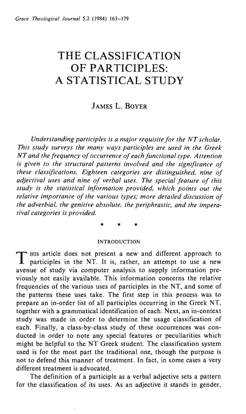# **THE CLASSIFICATION OF PARTICIPLES: A STATISTICAL STUDY**

# JAMES L. BOYER

*Understanding participles is a major requisite for the NT scholar. This study surveys the many ways participles are used in the Greek NT and the frequency of occurrence of each functional type. Attention is given to the structural patterns involved and the significance of these classifications. Eighteen categories are distinguished, nine of adjectival uses and nine of verbal uses. The special feature of this study is the statistical information provided, which points out the relative importance of the various types; more detailed discussion of the adverbial, the genitive absolute, the periphrastic, and the imperatival categories is provided.* 

\* \* \*

#### INTRODUCTION

T HIS article does not present a new and different approach to participles in the NT. It is, rather, an attempt to use a new avenue of study via computer analysis to supply information previously not easily available. This information concerns the relative frequencies of the various uses of participles in the NT, and some of the patterns these uses take. The first step in this process was to prepare an in-order list of all participles occurring in the Greek NT, together with a grammatical identification of each. Next, an in-context study was made in order to determine the usage classification of each. Finally, a class-by-class study of these occurrences was conducted in order to note any special features or peculiarities which might be helpful to the NT Greek student. The classification system used is for the most part the traditional one, though the purpose is not to defend this manner of treatment. In fact, in some cases a very different treatment is advocated.

The definition of a participle as a verbal adjective sets a pattern for the classification of its uses. As an adjective it stands in gender,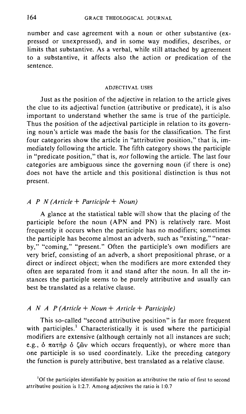number and case agreement with a noun or other substantive (expressed or unexpressed), and in some way modifies, describes, or limits that substantive. As a verbal, while still attached by agreement to a substantive, it affects also the action or predication of the sentence.

#### ADJECTIV AL USES

Just as the position of the adjective in relation to the article gives the clue to its adjectival function (attributive or predicate), it is also important to understand whether the same is true of the participle. Thus the position of the adjectival participle in relation to its governing noun's article was made the basis for the classification. The first four categories show the article in "attributive position," that is, immediately following the article. The fifth category shows the participle in "predicate position," that is, *not* following the article. The last four categories are ambiguous since the governing noun (if there is one) does not have the article and this positional distinction is thus not present.

## *A P N (Article* + *Participle* + *Noun)*

A glance at the statistical table will show that the placing of the participle before the noun (APN and PN) is relatively rare. Most frequently it occurs when the participle has no modifiers; sometimes the participle has become almost an adverb, such as "existing," "nearby," "coming," "present." Often the participle's own modifiers are very brief, consisting of an adverb, a short prepositional phrase, or a direct or indirect object; when the modifiers are more extended they often are separated from it and stand after the noun. In all the instances the participle seems to be purely attributive and usually can best be translated as a relative clause.

## *A NAP (Article* + *Noun* + *Article* + *Participle)*

This so-called "second attributive position" is far more frequent with participles.<sup>1</sup> Characteristically it is used where the participial modifiers are extensive (although certainly not all instances are such; e.g.,  $\delta$   $\pi$  $\alpha$  $\tau$  $\dot{\eta}$   $\rho$   $\delta$   $\zeta$  $\ddot{\omega}$  which occurs frequently), or where more than one participle is so used coordinately. Like the preceding category the function is purely attributive, best translated as a relative clause.

<sup>1</sup>Of the participles identifiable by position as attributive the ratio of first to second attributive position is 1:2.7. Among adjectives the ratio is 1:0.7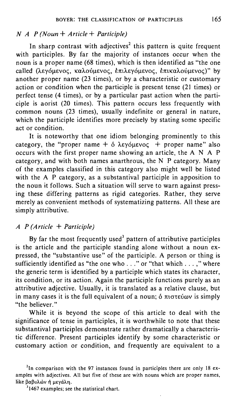## *NAP (Noun* + *Article* + *Participle)*

In sharp contrast with adjectives<sup>2</sup> this pattern is quite frequent with participles. By far the majority of instances occur when the noun is a proper name (68 times), which is then identified as "the one called (λεγόμενος, καλούμενος, επιλεγόμενος, επικαλούμενος)" by another proper name (23 times), or by a characteristic or customary action or condition when the participle is present tense (21 times) or perfect tense (4 times), or by a particular past action when the participle is aorist (20 times). This pattern occurs less frequently with common nouns (23 times), usually indefinite or general in nature, which the participle identifies more precisely by stating some specific act or condition.

It is noteworthy that one idiom belonging prominently to this category, the "proper name  $+$  6  $\lambda \epsilon \gamma \delta \mu \epsilon \nu o \varsigma$  + proper name" also occurs with the first proper name showing an article, the  $A \cap A$  P category, and with both names anarthrous, the N P category. Many of the examples classified in this category also might well be listed with the A P category, as a substantival participle in apposition to the noun it follows. Such a situation will serve to warn against pressing these differing patterns as rigid categories. Rather, they serve merely as convenient methods of systematizing patterns. All these are simply attributive.

## *A P (Article* + *Participle)*

By far the most frequently used<sup>3</sup> pattern of attributive participles is the article and the participle standing alone without a noun expressed, the "substantive use" of the participle. A person or thing is sufficiently identified as "the one who . . ." or "that which . . . ," where the generic term is identified by a participle which states its character, its condition, or its action. Again the participle functions purely as an attributive adjective. Usually, it is translated as a relative clause, but in many cases it is the full equivalent of a noun;  $\delta$   $\pi$ tores  $\delta$  is simply "the believer."

While it is beyond the scope of this article to deal with the significance of tense in participles, it is worthwhile to note that these substantival participles demonstrate rather dramatically a characteristic difference. Present participles identify by some characteristic or customary action or condition, and frequently are equivalent to a

<sup>&</sup>lt;sup>2</sup>In comparison with the 97 instances found in participles there are only 18 examples with adjectives. All but five of these are with nouns which are proper names, like βαβυλών ή μεγάλη.

<sup>&</sup>lt;sup>3</sup>1467 examples; see the statistical chart.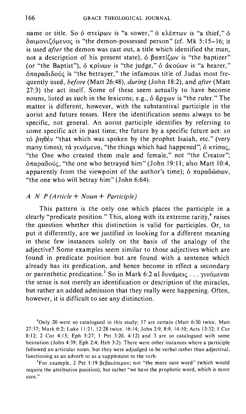name or title. So ό στείρων is "a sower," ό κλέπτων is "a thief." ό δαιμονιζόμενος is "the demon-possessed person" (cf. Mk 5:15-16; it is used *after* the demon was cast out, a title which identified the man, not a description of his present state),  $\delta$   $\beta$ anti $\zeta$ w is "the baptizer" (or "the Baptist"),  $\delta$  kpivov is "the judge,"  $\delta$  dkovov is "a hearer,"  $\delta \pi \alpha \rho \alpha \delta$ t $\delta \nu \zeta$  is "the betrayer," the infamous title of Judas most frequently used, *before* (Matt 26:48), *during* (John 18:2), and *after* (Matt 27:3) the act itself. Some of these seem actually to have become nouns, listed as such in the lexicons; e.g.,  $\delta$   $\alpha$  $\gamma$  $\omega$ v is "the ruler." The matter is different, however, with the substantival participle in the aorist and future tenses. Here the identification seems always to be specific, not general. An aorist participle identifies by referring to some specific act in past time; the future by a specific future act: so τὸ phθέν "that which was spoken by the prophet Isaiah, etc." (very many times);  $\tau \dot{\alpha}$  yevoµeva, "the things which had happened";  $\dot{\delta}$  K $\tau i \sigma \alpha \zeta$ , "the One who created them male and female," not "the Creator";  $\delta \pi \alpha \rho \alpha \delta \omega \zeta$ , "the one who betrayed him" (John 19:11; also Matt 10:4, apparently from the viewpoint of the author's time);  $\delta \pi \alpha \rho \alpha \delta \omega \sigma \omega v$ , "the one who will betray him" (John 6:64).

## *A N P (Article* + *Noun* + *Participle)*

This pattern is the only one which places the participle in a clearly "predicate position." This, along with its extreme rarity,<sup>4</sup> raises the question whether this distinction is valid for participles. Or, to put it differently, are we justified in looking for a different meaning in these few instances solely on the basis of the analogy of the adjective? Some examples seem similar to those adjectives which are found in predicate position but are found with a sentence which already has its predication, and hence become in effect a secondary or parenthetic predication.<sup>5</sup> So in Mark 6:2 at δυνάμεις ... γινόμεναι the sense is not merely an identification or description of the miracles, but rather an added admission that they really were happening. Often, however, it is difficult to see any distinction.

<sup>4</sup>Only 20 were so catalogued in this study; 17 are certain (Matt 6:30 twice, Matt 27:37; Mark 6:2; Luke 11:21, 12:28 twice, 16:14; John 2:9, 8:9,14:10; Acts 13:32; I Cor 8: 12; 2 Cor 4: 15; Eph 5:27; I Pet 3:20, 4: 12) and 3 are so catalogued with some hesitation (John 4:39; Eph 2:4; Heb 3:2). There were other instances where a participle followed an articular noun, but they were adjudged to be verbal rather than adjectival, functioning as an adverb or as a supplement to the verb.

<sup>5</sup>For example, 2 Pet 1:19  $\beta \epsilon \beta \alpha$  is the mote sure word" (which would require the attributive position), but rather "we have the prophetic word, which is more sure."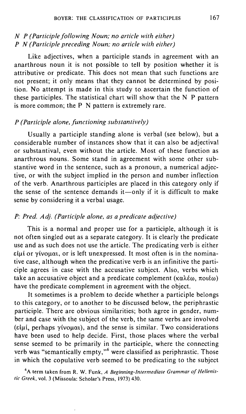# *N P (Participle folio wing Noun,' no article with either) P N (Participle preceding Noun; no article with either)*

Like adjectives, when a participle stands in agreement with an anarthrous noun it is not possible to tell by position whether it is attributive or predicate. This does not mean that such functions are not present; it only means that they cannot be determined by position. No attempt is made in this study to ascertain the function of these participles. The statistical chart will show that the N P pattern is more common; the P N pattern is extremely rare.

## *P (Participle alone, functioning substantively)*

Usually a participle standing alone is verbal (see below), but a considerable number of instances show that it can also be adjectival or substantival, even without the article. Most of these function as anarthrous nouns. Some stand in agreement with some other substantive word in the sentence, such as a pronoun, a numerical adjective, or with the subject implied in the person and number inflection of the verb. Anarthrous participles are placed in this category only if the sense of the sentence demands  $it$ —only if it is difficult to make sense by considering it a verbal usage.

## *P: Pred. Adj. (Participle alone, as a predicate adjective)*

This is a normal and proper use for a participle, although it is not often singled out as a separate category. It is clearly the predicate use and as such does not use the article. The predicating verb is either  $\epsilon\mu$ i or yivo $\mu\alpha$ , or is left unexpressed. It most often is in the nominative case, although when the predicative verb is an infinitive the participle agrees in case with the accusative subject. Also, verbs which take an accusative object and a predicate complement ( $\kappa \alpha \lambda \epsilon \omega$ ,  $\pi o(\epsilon \omega)$ ) have the predicate complement in agreement with the object.

It sometimes is a problem to decide whether a participle belongs to this category, or to another to be discussed below, the periphrastic participle. There are obvious similarities; both agree in gender, number and case with the subject of the verb, the same verbs are involved ( $\varepsilon$ ), perhaps  $\gamma$ ivo $\mu\alpha_1$ ), and the sense is similar. Two considerations have been used to help decide. First, those places where the verbal sense seemed to be primarily in the participle, where the connecting verb was "semantically empty,"<sup>6</sup> were classified as periphrastic. Those in which the copulative verb seemed to be predicating to the subject

6 A term taken from R. W. Funk, *A Beginning-Intermediate Grammar of Hellenistic Greek,* vol. 3 (Missoula: Scholar's Press, 1973) 430.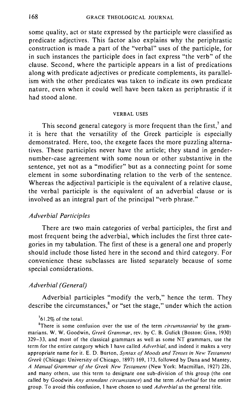some quality, act or state expressed by the participle were classified as predicate adjectives. This factor also explains why the periphrastic construction is made a part of the "verbal" uses of the participle, for in such instances the participle does in fact express "the verb" of the clause. Second, where the participle appears in a list of predications along with predicate adjectives or predicate complements, its parallelism with the other predicates was taken to indicate its own predicate nature, even when it could well have been taken as periphrastic if it had stood alone.

#### VERBAL USES

This second general category is more frequent than the first,  $\alpha$  and it is here that the versatility of the Greek participle is especially demonstrated. Here, too, the exegete faces the more puzzling alternatives. These participles never have the article; they stand in gendernumber-case agreement with some noun or other substantive in the sentence, yet not as a "modifier" but as a connecting point for some element in some subordinating relation to the verb of the sentence. Whereas the adjectival participle is the equivalent of a relative clause, the verbal participle is the equivalent of an adverbial clause or is involved as an integral part of the principal "verb phrase."

#### *Adverbial Participles*

There are two main categories of verbal participles, the first and most frequent being the adverbial, which includes the first three categories in my tabulation. The first of these is a general one and properly should include those listed here in the second and third category. For convenience these subclasses are listed separately because of some special considerations.

#### *Adverbial (General)*

Adverbial participles "modify the verb," hence the term. They describe the circumstances, $\delta$  or "set the stage," under which the action

#### $1/2\%$  of the total.

8There is some confusion over the use of the term *circumstantial* by the grammarians. W. W. Goodwin, *Greek Grammar,* rev. by C. B. Gulick (Boston: Ginn, 1930) 329-33, and most of the classical grammars as well as some NT grammars, use the term for the entire category which I have called *Adverbial,* and indeed it makes a very appropriate name for it. E. D. Burton, *Syntax of Moods and Tenses in New Testament Greek* (Chicago: University of Chicago, 1897) 169, 173, followed by Dana and Mantey, *A Manual Grammar of the Greek New Testament* (New York: Macmillan, 1927) 226, and many others, use this term to designate one sub-division of this group (the one called by Goodwin *Any attendant circumstance)* and the term *Adverbial* for the entire group. To avoid this confusion, I have chosen to used *Adverbial* as the general title.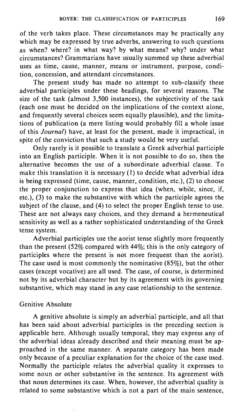of the verb takes place. These circumstances may be practically any which may be expressed by true adverbs, answering to such questions as when? where? in what way? by what means? why? under what circumstances? Grammarians have usually summed up these adverbial uses as time, cause, manner, means or instrument, purpose, condition, concession, and attendant circumstances.

The present study has made no attempt to sub-classify these adverbial participles under these headings, for several reasons. The size of the task (almost 3,500 instances), the subjectivity of the task (each one must be decided on the implications of the context alone, and frequently several choices seem equally plausible), and the limitations of pUblication (a mere listing would probably fill a whole issue of this Journal) have, at least for the present, made it impractical, in spite of the conviction that such a study would be very useful.

Only rarely is it possible to translate a Greek adverbial participle into an English participle. When it is not possible to do so, then the alternative becomes the use of a subordinate adverbial clause. To make this translation it is necessary (I) to decide what adverbial idea is being expressed (time, cause, manner, condition, etc.), (2) to choose the proper conjunction to express that idea (when, while, since, if, etc.), (3) to make the substantive with which the participle agrees the subject of the clause, and (4) to select the proper English tense to use. These are not always easy choices, and they demand a hermeneutical sensitivity as well as a rather sophisticated understanding of the Greek tense system.

Adverbial participles use the aorist tense slightly more frequently than the present (52% compared with 44%; this is the only category of participles where the present is not more frequent than the aorist). The case used is most commonly the nominative (85%), but the other cases (except vocative) are all used. The case, of course, is determined not by its adverbial character but by its agreement with its governing substantive, which may stand in any case relationship to the sentence.

## Genitive Absolute

A genitive absolute is simply an adverbial participle, and all that has been said about adverbial participles in the preceding section is applicable here. Although usually temporal, they may express any of the adverbial ideas already described and their meaning must be approached in the same manner. A separate category has been made only because of a peculiar explanation for the choice of the case used. Normally the participle relates the adverbial quality it expresses to some noun or other substantive in the sentence. Its agreement with that noun determines its case. When, however, the adverbial quality is related to some substantive which is not a part of the main sentence,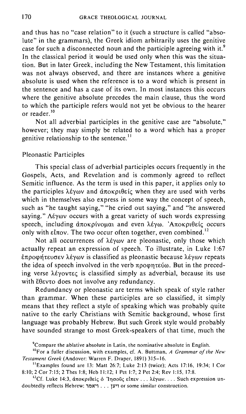and thus has no "case relation" to it (such a structure is called "absolute" in the grammars), the Greek idiom arbitrarily uses the genitive case for such a disconnected noun and the participle agreeing with it.<sup>9</sup> In the classical period it would be used only when this was the situation. But in later Greek, including the New Testament, this limitation was not always observed, and there are instances where a genitive absolute is used when the reference is to a word which is present in the sentence and has a case of its own. In most instances this occurs where the genitive absolute precedes the main clause, thus the word to which the participle refers would not yet be obvious to the hearer or reader.<sup>10</sup>

Not all adverbial participles in the genitive case are "absolute," however; they may simply be related to a word which has a proper genitive relationship to the sentence.<sup>11</sup>

### Pleonastic Participles

This special class of adverbial participles occurs frequently in the Gospels, Acts, and Revelation and is commonly agreed to reflect Semitic influence. As the term is used in this paper, it applies only to the participles  $\lambda \xi \gamma \omega \nu$  and  $\dot{\alpha} \pi \omega \kappa \rho_1 \theta \epsilon \zeta$ ; when they are used with verbs which in themselves also express in some way the concept of speech, such as "he taught saying," "he cried out saying," and "he answered saying."  $\Lambda \epsilon \gamma \omega \nu$  occurs with a great variety of such words expressing speech, including αποκρίνομαι and even λέγω. 'Αποκριθείς occurs only with  $\epsilon\ell\pi\sigma v$ . The two occur often together, even combined.<sup>12</sup>

Not all occurrences of  $\lambda \in \gamma$  are pleonastic, only those which actually repeat an expression of speech. To illustrate, in Luke 1:67  $\epsilon \pi \rho$ oφήτευσεν λέγων is classified as pleonastic because λέγων repeats the idea of speech involved in the verb  $\pi\rho$ o  $\varphi$  and  $\pi$  in the preceding verse  $\lambda \epsilon$  yovtec is classified simply as adverbial, because its use with  $\check{\epsilon}$ θεντο does not involve any redundancy.

Redundancy or pleonastic are terms which speak of style rather than grammar. When these participles are so classified, it simply means that they reflect a style of speaking which was probably quite native to the early Christians with Semitic background, whose first language was probably Hebrew. But such Greek style would probably have sounded strange to most Greek-speakers of that time, much the

<sup>9</sup>Compare the ablative absolute in Latin, the nominative absolute in English.

<sup>10</sup>For a fuller discussion, with examples, cf. A. Buttman, *A Grammar of the New Testament Greek* (Andover: Warren F. Draper, 1891) 315-16.

<sup>11</sup>Examples found are 13: Matt 26:7; Luke 2:13 (twice); Acts 17:16, 19:34; 1 Cor 8:10; 2 Cor 7:15; 2 Thes 1:8; Heb 11:12; I Pet 1:7; 2 Pet 2:4; Rev 1:15, 17:8.

<sup>12</sup>Cf. Luke 14:3, άποκριθείς ό 'Iησοῦς είπεν ... λέγων.... Such expression undoubtedly reflects Hebrew: ויען ... ויאמר or some similar construction.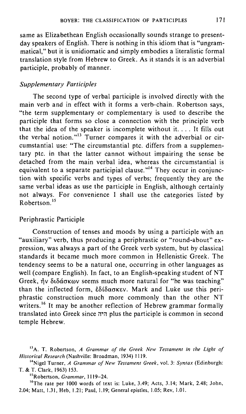same as Elizabethean English occasionally sounds strange to presentday speakers of English. There is nothing in this idiom that is "ungrammatical," but it is unidiomatic and simply embodies a literalistic formal translation style from Hebrew to Greek. As it stands it is an adverbial participle, probably of manner.

## *Supplementary Participles*

The second type of verbal participle is involved directly with the main verb and in effect with it forms a verb-chain. Robertson says, "the term supplementary or complementary is used to describe the participle that forms so close a connection with the principle verb that the idea of the speaker is incomplete without it. ... It fills out the verbal notion."<sup>13</sup> Turner compares it with the adverbial or circumstantial use: "The circumstantial ptc. differs from a supplementary ptc. in that the latter cannot without impairing the sense be detached from the main verbal idea, whereas the circumstantial is equivalent to a separate participial clause."<sup>14</sup> They occur in conjunction with specific verbs and types of verbs; frequently they are the same verbal ideas as use the participle in English, although certainly not always. For convenience I shall use the categories listed by Robertson. <sup>15</sup>

## Periphrastic Participle

Construction of tenses and moods by using a participle with an "auxiliary" verb, thus producing a periphrastic or "round-about" expression, was always a part of the Greek verb system, but by classical standards it became much more common in Hellenistic Greek. The tendency seems to be a natural one, occurring in other languages as well (compare English). In fact, to an English-speaking student of NT Greek,  $\eta v$   $\delta t \delta \dot{\alpha} \sigma \kappa \omega v$  seems much more natural for "he was teaching" than the inflected form,  $\dot{\epsilon} \delta i \delta \alpha \sigma \kappa \epsilon v$ . Mark and Luke use this periphrastic construction much more commonly than the other NT writers.<sup>16</sup> It may be another reflection of Hebrew grammar formally translated into Greek since ;";' plus the participle is common in second temple Hebrew.

15Robertson, *Grammar, 1119-24.* 

16The rate per 1000 words of text is: Luke, 3.49; Acts, 3.14; Mark, 2.48; John, 2.04; Matt, 1.31, Heb, 1.21; Paul, l.l9; General epistles, 1.05; Rev, 1.01.

<sup>13</sup> A. T. Robertson, *A Grammar of the Greek New Testament in the Light of Historical Research* (Nashville: Broadman, 1934) 1119.

<sup>14</sup>Nigel Turner, *A Grammar of New Testament Greek,* vol. 3: *Syntax* (Edinburgh: T. & T. Clark, 1963) 153.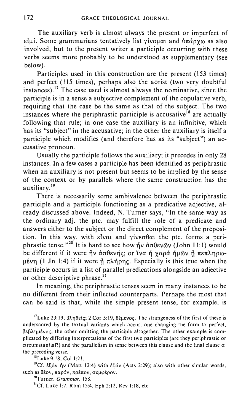The auxiliary verb is almost always the present or imperfect of  $\epsilon$ iui. Some grammarians tentatively list yivouar and  $\delta \pi \alpha$ oy $\omega$  as also involved, but to the present writer a participle occurring with these verbs seems more probably to be understood as supplementary (see below).

Participles used in this construction are the present (153 times) and perfect (lI5 times), perhaps also the aorist (two very doubtful instances).<sup>17</sup> The case used is almost always the nominative, since the participle is in a sense a subjective complement of the copulative verb, requiring that the case be the same as that of the subject. The two instances where the periphrastic participle is accusative<sup>18</sup> are actually following that rule; in one case the auxiliary is an infinitive, which has its "subject" in the accusative; in the other the auxiliary is itself a participle which modifies (and therefore has as its "subject") an accusative pronoun.

Usually the participle follows the auxiliary; it precedes in only 28 instances. In a few cases a participle has been identified as periphrastic when an auxiliary is not present but seems to be implied by the sense of the context or by parallels where the same construction has the auxiliary.19

There is necessarily some ambivalence between the periphrastic participle and a participle functioning as a predicative adjective, already discussed above. Indeed, N. Turner says, "In the same way as the ordinary adj. the ptc. may fulfill the role of a predicate and answers either to the subject or the direct complement of the preposition. In this way, with  $\epsilon\bar{l}$  vat and  $\gamma$ iv $\epsilon\sigma\theta\alpha$  the ptc. forms a periphrastic tense."<sup>20</sup> It is hard to see how  $\tilde{\eta}$  adds  $\tilde{\theta}$  (John II: 1) would be different if it were  $\tilde{\eta}$ ν ασθενής; or 'iva ή χαρα ήμων ή πεπληρω- $\mu$ ένη (1 Jn 1:4) if it were  $\eta$  πλήρης. Especially is this true when the participle occurs in a list of parallel predications alongside an adjective or other descriptive phrase. $^{21}$ 

In meaning, the periphrastic tenses seem in many instances to be no different from their inflected counterparts. Perhaps the most that can be said is that, while the simple present tense, for example, is

<sup>17</sup>Luke 23:19, βληθείς; 2 Cor 5:19, θέμενος. The strangeness of the first of these is underscored by the textual variants which occur; one changing the form to perfect, BEBAnuévoc, the other omitting the participle altogether. The other example is complicated by differing interpretations of the first two participles (are they periphrastic or circumstantial?) and the parallelism in sense between this clause and the final clause of the preceding verse.

18Luke 9:18, Col 1:21.

19Cf. t~ov ~v (Matt 12:4) with t~ov (Acts 2:29); also with other similar words, such as δέον, παρόν, πρέπον, συμφέρον.

2°Turner, *Grammar, 158.* 

<sup>21</sup>Cf. Luke 1:7, Rom 15:4, Eph 2:12, Rev 1:18, etc.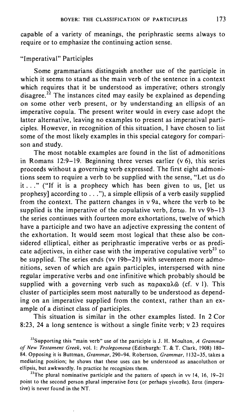capable of a variety of meanings, the periphrastic seems always to require or to emphasize the continuing action sense.

# "Imperatival" Participles

Some grammarians distinguish another use of the participle in which it seems to stand as the main verb of the sentence in a context which requires that it be understood as imperative; others strongly disagree.<sup>22</sup> The instances cited may easily be explained as depending on some other verb present, or by understanding an ellipsis of an imperative copula. The present writer would in every case adopt the latter alternative, leaving no examples to present as imperatival participles. However, in recognition of this situation, I have chosen to list some of the most likely examples in this special category for comparison and study.

The most notable examples are found in the list of admonitions in Romans 12:9-19. Beginning three verses earlier  $(v_0)$ , this series proceeds without a governing verb expressed. The first eight admonitions seem to require a verb to be supplied with the sense, "Let us do it ... " ("If it is a prophecy which has been given to us, [let us prophesy] according to  $\dots$ ", a simple ellipsis of a verb easily supplied from the context. The pattern changes in v 9a, where the verb to be supplied is the imperative of the copulative verb,  $\zeta \sigma \tau \omega$ . In vv 9b-13 the series continues with fourteen more exhortations, twelve of which have a participle and two have an adjective expressing the content of the exhortation. It would seem most logical that these also be considered elliptical, either as periphrastic imperative verbs or as predicate adjectives, in either case with the imperative copulative verb<sup>23</sup> to be supplied. The series ends (vv 19b-21) with seventeen more admonitions, seven of which are again participles, interspersed with nine regular imperative verbs and one infinitive which probably should be supplied with a governing verb such as  $\pi \alpha \rho \alpha \kappa \alpha \lambda \tilde{\omega}$  (cf. v 1). This cluster of participles seem most naturally to be understood as depending on an imperative supplied from the context, rather than an example of a distinct class of participles.

This situation is similar in the other examples listed. In 2 Cor 8:23, 24 a long sentence is without a single finite verb; v 23 requires

22Supporting this "main verb" use of the participle is J. H. Moulton, *A Grammar of New Testament Greek,* vol. I: *Prolegomena* (Edinburgh: T. & T. Clark, 1908) 180- 84. Opposing it is Buuman, *Grammar,* 290-94. Robertson, *Grammar,* 1132-35, takes a mediating position; he shows that these uses can be understood as anacoluthon or ellipsis, but awkwardly. In practice he recognizes them.

<sup>23</sup>The plural nominative participle and the pattern of speech in vv 14, 16, 19-21 point to the second person plural imperative Ecre (or perhaps  $\gamma$ ivec $\theta$ e). Ecre (imperative) is never found in the NT.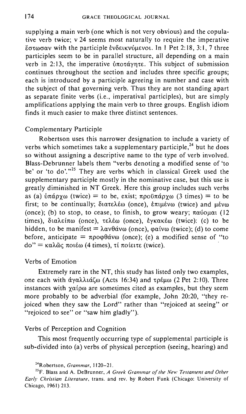supplying a main verb (one which is not very obvious) and the copulative verb twice; v 24 seems most naturally to require the imperative  $\epsilon$ στωσαν with the participle ενδεικνύμενοι. In 1 Pet 2:18, 3:1, 7 three participles seem to be in parallel structure, all depending on a main verb in 2:13, the imperative  $\delta \pi$ otáynte. This subject of submission continues throughout the section and includes three specific groups; each is introduced by a participle agreeing in number and case with the subject of that governing verb. Thus they are not standing apart as separate finite verbs (i.e., imperatival participles), but are simply amplifications applying the main verb to three groups. English idiom finds it much easier to make three distinct sentences.

#### Complementary Participle

Robertson uses this narrower designation to include a variety of verbs which sometimes take a supplementary participle,<sup>24</sup> but he does so without assigning a descriptive name to the type of verb involved. Blass-Debrunner labels them "verbs denoting a modified sense of 'to be' or 'to do'."<sup>25</sup> They are verbs which in classical Greek used the supplementary participle mostly in the nominative case, but this use is greatly diminished in NT Greek. Here this group includes such verbs as (a)  $\delta \pi \alpha \rho \gamma \omega$  (twice) = to be, exist;  $\pi \rho \sigma \sigma \gamma \alpha$  (3 times) = to be first; to be continually;  $\delta$ 1ate $\lambda \epsilon \omega$  (once),  $\epsilon \pi$ 1µ $\epsilon \nu \omega$  (twice) and  $\mu \epsilon \nu \omega$ (once); (b) to stop, to cease, to finish, to grow weary;  $\pi\alpha\omega_0\mu\alpha_1$  (12) times), διαλείπω (once), τελέω (once), έγκακέω (twice): (c) to be hidden, to be manifest =  $\lambda \alpha v \theta \dot{\alpha} v \omega$  (once),  $\varphi \alpha$  (vaive); (d) to come before, anticipate =  $\pi \rho \circ \theta \circ \alpha$  (once); (e) a modified sense of "to  $do'' = \kappa \alpha \lambda \tilde{\omega} \varsigma$  ποιέω (4 times), τί ποίειτε (twice).

## Verbs of Emotion

Extremely rare in the NT, this study has listed only two examples, one each with άγαλλιάζω (Acts 16:34) and τρέμω (2 Pet 2:10). Three instances with  $\gamma\alpha\beta\omega$  are sometimes cited as examples, but they seem more probably to be adverbial (for example, John 20:20, "they rejoiced when they saw the Lord" rather than "rejoiced at seeing" or "rejoiced to see" or "saw him gladly").

#### Verbs of Perception and Cognition

This most frequently occurring type of supplemental participle is sub-divided into (a) verbs of physical perception (seeing, hearing) and

<sup>24</sup>Robertson, *Grammar,* 1120-21.

<sup>25</sup>F. Blass and A. DeBrunner, *A Greek Grammar of the New Testament and Other Early Christian Literature,* trans. and rev. by Robert Funk (Chicago: University of Chicago, 1961) 213.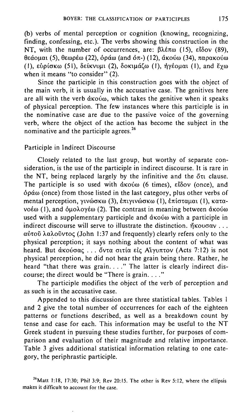(b) verbs of mental perception or cognition (knowing, recognizing, finding, confessing, etc.). The verbs showing this construction in the NT, with the number of occurrences, are:  $\beta \lambda \epsilon \pi \omega$  (15),  $\epsilon \delta \delta \nu$  (89),  $\theta$ εάομαι (5), θεωρέω (22), όράω (and όπ-) (12), άκούω (34), παρακούω (I),  $\epsilon\psi\rho$ ίσκω (51), δείκνυμι (2), δοκιμάζω (1), ήγέομαι (1), and έγω when it means "to consider" (2).

Since the participle in this construction goes with the object of the main verb, it is usually in the accusative case. The genitives here are all with the verb  $\dot{\alpha}$  Ko $\dot{\alpha}$ , which takes the genitive when it speaks of physical perception. The few instances where this participle is in the nominative case are due to the passive voice of the governing verb, where the object of the action has become the subject in the nominative and the participle agrees.<sup>26</sup>

# Participle in Indirect Discourse

Closely related to the last group, but worthy of separate consideration, is the use of the participle in indirect discourse. It is rare in the NT, being replaced largely by the infinitive and the  $\delta \tau$  clause. The participle is so used with  $\alpha$ <sub>K</sub>ov<sub>( $\alpha$ </sub>) (6 times),  $\varepsilon$ I $\delta$ ov( $\alpha$ nce), and  $\delta\rho\alpha\omega$  (once) from those listed in the last category, plus other verbs of mental perception,  $\gamma$ ινώσκω (3), επιγινώσκω (1), επίσταμαι (1), κατα- $\nu$ οέω (1), and δμολογέω (2). The contrast in meaning between ακούω used with a supplementary participle and  $d$  kovo with a participle in indirect discourse will serve to illustrate the distinction.  $\eta$ Kou $\sigma$ ay ...  $\alpha\dot{\beta}$ τοῦ λαλοῦντος (John 1:37 and frequently) clearly refers only to the physical perception; it says nothing about the content of what was heard. But ακούσας ... όντα σιτία είς Αϊγυπτον (Acts 7:12) is not physical perception, he did not hear the grain being there. Rather, he heard "that there was grain...." The latter is clearly indirect discourse; the direct would be "There is grain...."

The participle modifies the object of the verb of perception and as such is in the accusative case.

Appended to this discussion are three statistical tables. Tables I and 2 give the total number of occurrences for each of the eighteen patterns or functions described, as well as a breakdown count by tense and case for each. This information may be useful to the NT Greek student in pursuing these studies further, for purposes of comparison and evaluation of their magnitude and relative importance. Table 3 gives additional statistical information relating to one category, the periphrastic participle.

 $26$ Matt 1:18, 17:30; Phil 3:9; Rev 20:15. The other is Rev 5:12, where the ellipsis makes it difficult to account for the case.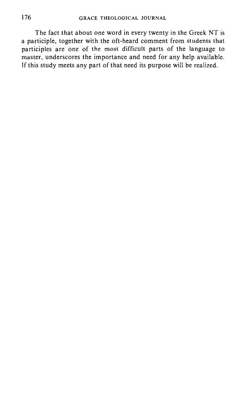The fact that about one word in every twenty in the Greek NT is a participle, together with the oft-heard comment from students that participles are one of the most difficult parts of the language to master, underscores the importance and need for any help available. If this study meets any part of that need its purpose will be realized.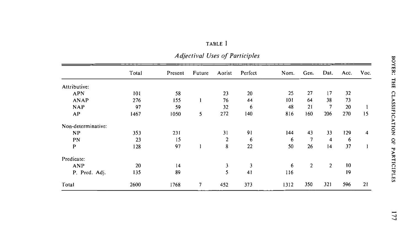|                    | Total | Present | Future | Aorist         | Perfect | Nom. | Gen. | Dat. | Acc. | Voc. |
|--------------------|-------|---------|--------|----------------|---------|------|------|------|------|------|
| Attributive:       |       |         |        |                |         |      |      |      |      |      |
| APN                | 101   | 58      |        | 23             | 20      | 25   | 27   | 17   | 32   |      |
| ANAP               | 276   | 155     |        | 76             | 44      | 101  | 64   | 38   | 73   |      |
| <b>NAP</b>         | 97    | 59      |        | 32             | 6       | 48   | 21   | 7    | 20   |      |
| AP                 | 1467  | 1050    | 5      | 272            | 140     | 816  | 160  | 206  | 270  | 15   |
| Non-determinative: |       |         |        |                |         |      |      |      |      |      |
| NP                 | 353   | 231     |        | 31             | 91      | 144  | 43   | 33   | 129  | 4    |
| PN                 | 23    | 15      |        | $\overline{2}$ | 6       | 6    | 7    | 4    | 6    |      |
| P                  | 128   | 97      |        | 8              | 22      | 50   | 26   | 4    | 37   |      |
| Predicate:         |       |         |        |                |         |      |      |      |      |      |
| <b>ANP</b>         | 20    | t4      |        | 3              |         | 6    | 2    | 2    | 10   |      |
| P. Pred. Adj.      | 135   | 89      |        | 5              | 41      | 116  |      |      | 19   |      |
| Total              | 2600  | 1768    | 7      | 452            | 373     | 1312 | 350  | 321  | 596  | 21   |

| .,<br>- 1<br>. .<br>1. 1<br>v. |  |
|--------------------------------|--|
|--------------------------------|--|

*Adjectival Uses of Participles*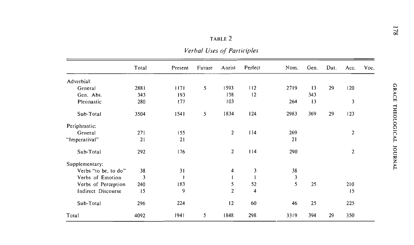*Verbal Uses of Participles* 

|                      | Total | Present | Future | Aorist         | Perfect                 | Nom. | Gen. | Dat. | Acc. | Voc. |
|----------------------|-------|---------|--------|----------------|-------------------------|------|------|------|------|------|
| Adverbial:           |       |         |        |                |                         |      |      |      |      |      |
| General              | 2881  | 1171    | 5      | 1593           | 112                     | 2719 | 13   | 29   | 120  |      |
| Gen. Abs.            | 343   | 193     |        | 138            | 12                      |      | 343  |      |      |      |
| Pleonastic           | 280   | 177     |        | 103            |                         | 264  | 13   |      | 3    |      |
| Sub-Total            | 3504  | 1541    | 5      | 1834           | 124                     | 2983 | 369  | 29   | 123  |      |
| Periphrastic:        |       |         |        |                |                         |      |      |      |      |      |
| General              | 271   | 155     |        | $\overline{2}$ | 114                     | 269  |      |      | 2    |      |
| "Imperatival"        | 21    | 21      |        |                |                         | 21   |      |      |      |      |
| Sub-Total            | 292   | 176     |        | $\overline{2}$ | 114                     | 290  |      |      | 2    |      |
| Supplementary:       |       |         |        |                |                         |      |      |      |      |      |
| Verbs "to be, to do" | 38    | 31      |        | 4              | 3                       | 38   |      |      |      |      |
| Verbs of Emotion     | 3     |         |        |                |                         | 3    |      |      |      |      |
| Verbs of Perception  | 240   | 183     |        | 5              | 52                      | 5    | 25   |      | 210  |      |
| Indirect Discourse   | 15    | 9       |        | $\overline{2}$ | $\overline{\mathbf{4}}$ |      |      |      | 15   |      |
| Sub-Total            | 296   | 224     |        | 12             | 60                      | 46   | 25   |      | 225  |      |
| Total                | 4092  | 1941    | 5      | 1848           | 298                     | 3319 | 394  | 29   | 350  |      |